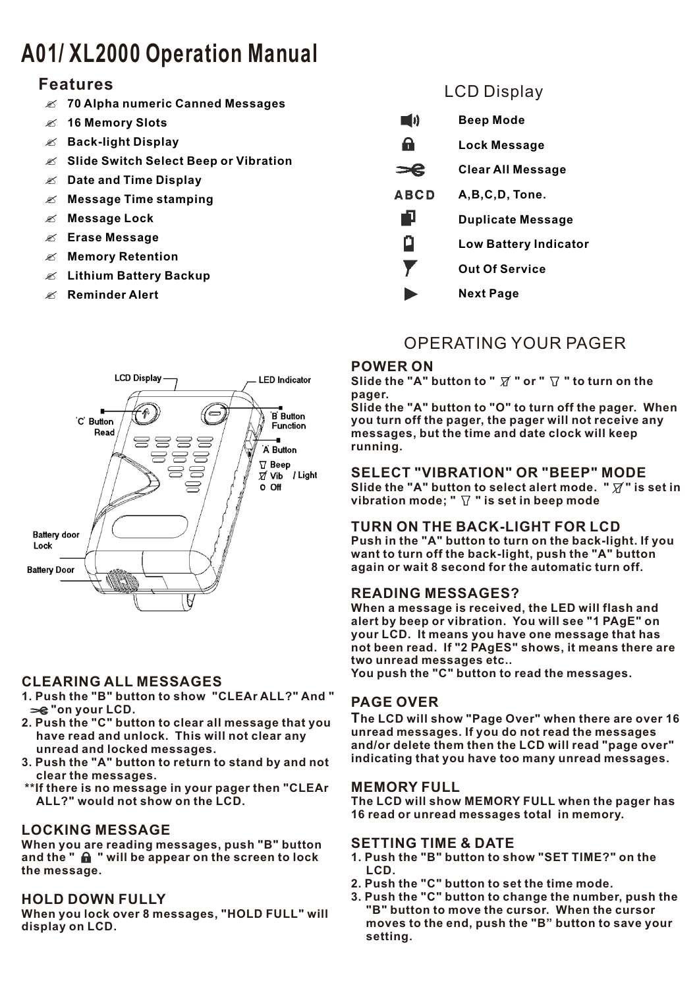# **A01/ XL2000 Operation Manual**

## **Features**

- ? **70 Alpha numeric Canned Messages**
- ? **16 Memory Slots**
- ? **Back-light Display**
- ? **Slide Switch Select Beep or Vibration**
- ? **Date and Time Display**
- ? **Message Time stamping**
- ? **Message Lock**
- ? **Erase Message**
- ? **Memory Retention**
- ? **Lithium Battery Backup**
- ? **Reminder Alert**



#### **CLEARING ALL MESSAGES**

- **1. Push the "B" button to show "CLEAr ALL?" And "**   $\equiv$  "on your LCD.
- **2. Push the "C" button to clear all message that you have read and unlock. This will not clear any unread and locked messages.**
- **3. Push the "A" button to return to stand by and not clear the messages.**
- **\*\*If there is no message in your pager then "CLEAr ALL?" would not show on the LCD.**

#### **LOCKING MESSAGE**

**When you are reading messages, push "B" button**  and the " **m** " will be appear on the screen to lock **the message.** 

#### **HOLD DOWN FULLY**

**When you lock over 8 messages, "HOLD FULL" will display on LCD.**

# LCD Display

- $\blacksquare$ **Beep Mode**
- $\mathbf{a}$ **Lock Message**

 $=$ **Clear All Message**

- **ABCD A,B,C,D, Tone.**
- n **Duplicate Message**
- o **Low Battery Indicator**
- Y **Out Of Service**
	- **Next Page**

# OPERATING YOUR PAGER

#### **POWER ON**

Slide the "A" button to "  $\overline{X}$  " or "  $\overline{Y}$  " to turn on the **pager.** 

**Slide the "A" button to "O" to turn off the pager. When you turn off the pager, the pager will not receive any messages, but the time and date clock will keep running.**

#### **SELECT "VIBRATION" OR "BEEP" MODE**

Slide the "A" button to select alert mode. " $\overline{X}$ " is set in vibration mode; "  $\triangledown$  " is set in beep mode

#### **TURN ON THE BACK-LIGHT FOR LCD**

**Push in the "A" button to turn on the back-light. If you want to turn off the back-light, push the "A" button again or wait 8 second for the automatic turn off.**

#### **READING MESSAGES?**

**When a message is received, the LED will flash and alert by beep or vibration. You will see "1 PAgE" on your LCD. It means you have one message that has not been read. If "2 PAgES" shows, it means there are two unread messages etc..**

**You push the "C" button to read the messages.**

#### **PAGE OVER**

**The LCD will show "Page Over" when there are over 16 unread messages. If you do not read the messages and/or delete them then the LCD will read "page over" indicating that you have too many unread messages.** 

#### **MEMORY FULL**

**The LCD will show MEMORY FULL when the pager has 16 read or unread messages total in memory.** 

#### **SETTING TIME & DATE**

- **1. Push the "B" button to show "SET TIME?" on the LCD.**
- **2. Push the "C" button to set the time mode.**
- **3. Push the "C" button to change the number, push the "B" button to move the cursor. When the cursor moves to the end, push the "B" button to save your setting.**